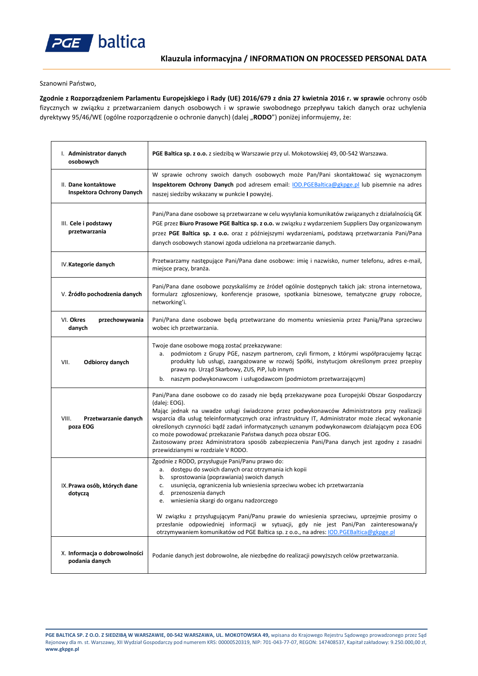

Szanowni Państwo,

**Zgodnie z Rozporządzeniem Parlamentu Europejskiego i Rady (UE) 2016/679 z dnia 27 kwietnia 2016 r. w sprawie** ochrony osób fizycznych w związku z przetwarzaniem danych osobowych i w sprawie swobodnego przepływu takich danych oraz uchylenia dyrektywy 95/46/WE (ogólne rozporządzenie o ochronie danych) (dalej "**RODO**") poniżej informujemy, że:

| I. Administrator danych<br>osobowych             | PGE Baltica sp. z o.o. z siedzibą w Warszawie przy ul. Mokotowskiej 49, 00-542 Warszawa.                                                                                                                                                                                                                                                                                                                                                                                                                                                                                                                                  |
|--------------------------------------------------|---------------------------------------------------------------------------------------------------------------------------------------------------------------------------------------------------------------------------------------------------------------------------------------------------------------------------------------------------------------------------------------------------------------------------------------------------------------------------------------------------------------------------------------------------------------------------------------------------------------------------|
| II. Dane kontaktowe<br>Inspektora Ochrony Danych | W sprawie ochrony swoich danych osobowych może Pan/Pani skontaktować się wyznaczonym<br>Inspektorem Ochrony Danych pod adresem email: IOD.PGEBaltica@gkpge.pl lub pisemnie na adres<br>naszej siedziby wskazany w punkcie I powyżej.                                                                                                                                                                                                                                                                                                                                                                                      |
| III. Cele i podstawy<br>przetwarzania            | Pani/Pana dane osobowe są przetwarzane w celu wysyłania komunikatów związanych z działalnością GK<br>PGE przez Biuro Prasowe PGE Baltica sp. z o.o. w związku z wydarzeniem Suppliers Day organizowanym<br>przez PGE Baltica sp. z o.o. oraz z późniejszymi wydarzeniami, podstawą przetwarzania Pani/Pana<br>danych osobowych stanowi zgoda udzielona na przetwarzanie danych.                                                                                                                                                                                                                                           |
| IV.Kategorie danych                              | Przetwarzamy następujące Pani/Pana dane osobowe: imię i nazwisko, numer telefonu, adres e-mail,<br>miejsce pracy, branża.                                                                                                                                                                                                                                                                                                                                                                                                                                                                                                 |
| V. Źródło pochodzenia danych                     | Pani/Pana dane osobowe pozyskaliśmy ze źródeł ogólnie dostępnych takich jak: strona internetowa,<br>formularz zgłoszeniowy, konferencje prasowe, spotkania biznesowe, tematyczne grupy robocze,<br>networking'i.                                                                                                                                                                                                                                                                                                                                                                                                          |
| VI. Okres<br>przechowywania<br>danych            | Pani/Pana dane osobowe będą przetwarzane do momentu wniesienia przez Panią/Pana sprzeciwu<br>wobec ich przetwarzania.                                                                                                                                                                                                                                                                                                                                                                                                                                                                                                     |
| VII.<br><b>Odbiorcy danych</b>                   | Twoje dane osobowe mogą zostać przekazywane:<br>podmiotom z Grupy PGE, naszym partnerom, czyli firmom, z którymi współpracujemy łącząc<br>а.<br>produkty lub usługi, zaangażowane w rozwój Spółki, instytucjom określonym przez przepisy<br>prawa np. Urząd Skarbowy, ZUS, PiP, lub innym<br>b. naszym podwykonawcom i usługodawcom (podmiotom przetwarzającym)                                                                                                                                                                                                                                                           |
| VIII.<br>Przetwarzanie danych<br>poza EOG        | Pani/Pana dane osobowe co do zasady nie będą przekazywane poza Europejski Obszar Gospodarczy<br>(dalej: EOG).<br>Mając jednak na uwadze usługi świadczone przez podwykonawców Administratora przy realizacji<br>wsparcia dla usług teleinformatycznych oraz infrastruktury IT, Administrator może zlecać wykonanie<br>określonych czynności bądź zadań informatycznych uznanym podwykonawcom działającym poza EOG<br>co może powodować przekazanie Państwa danych poza obszar EOG.<br>Zastosowany przez Administratora sposób zabezpieczenia Pani/Pana danych jest zgodny z zasadni<br>przewidzianymi w rozdziale V RODO. |
| IX. Prawa osób, których dane<br>dotyczą          | Zgodnie z RODO, przysługuje Pani/Panu prawo do:<br>dostępu do swoich danych oraz otrzymania ich kopii<br>а.<br>sprostowania (poprawiania) swoich danych<br>b.<br>usunięcia, ograniczenia lub wniesienia sprzeciwu wobec ich przetwarzania<br>c.<br>d.<br>przenoszenia danych<br>wniesienia skargi do organu nadzorczego<br>е.<br>W związku z przysługującym Pani/Panu prawie do wniesienia sprzeciwu, uprzejmie prosimy o<br>przesłanie odpowiedniej informacji w sytuacji, gdy nie jest Pani/Pan zainteresowana/y                                                                                                        |
| X. Informacja o dobrowolności<br>podania danych  | otrzymywaniem komunikatów od PGE Baltica sp. z o.o., na adres: IOD.PGEBaltica@gkpge.pl<br>Podanie danych jest dobrowolne, ale niezbędne do realizacji powyższych celów przetwarzania.                                                                                                                                                                                                                                                                                                                                                                                                                                     |

**PGE BALTICA SP. Z O.O. Z SIEDZIBĄ W WARSZAWIE, 00-542 WARSZAWA, UL. MOKOTOWSKA 49,** wpisana do Krajowego Rejestru Sądowego prowadzonego przez Sąd Rejonowy dla m. st. Warszawy, XII Wydział Gospodarczy pod numerem KRS: 00000520319, NIP: 701-043-77-07, REGON: 147408537, Kapitał zakładowy: 9.250.000,00 zł, **www.gkpge.pl**